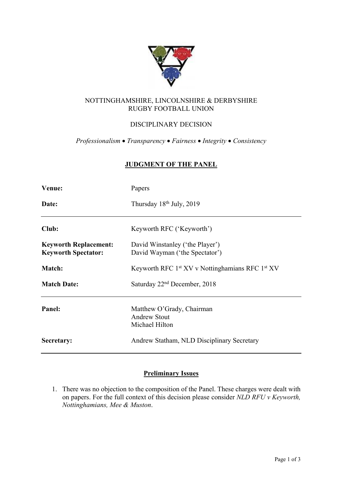

## NOTTINGHAMSHIRE, LINCOLNSHIRE & DERBYSHIRE RUGBY FOOTBALL UNION

# DISCIPLINARY DECISION

*Professionalism* • *Transparency* • *Fairness* • *Integrity* • *Consistency*

### **JUDGMENT OF THE PANEL**

| Venue:                                                     | Papers                                                                  |
|------------------------------------------------------------|-------------------------------------------------------------------------|
| Date:                                                      | Thursday $18th$ July, 2019                                              |
| Club:                                                      | Keyworth RFC ('Keyworth')                                               |
| <b>Keyworth Replacement:</b><br><b>Keyworth Spectator:</b> | David Winstanley ('the Player')<br>David Wayman ('the Spectator')       |
| Match:                                                     | Keyworth RFC 1 <sup>st</sup> XV v Nottinghamians RFC 1 <sup>st</sup> XV |
| <b>Match Date:</b>                                         | Saturday 22 <sup>nd</sup> December, 2018                                |
| Panel:                                                     | Matthew O'Grady, Chairman<br><b>Andrew Stout</b><br>Michael Hilton      |
| Secretary:                                                 | Andrew Statham, NLD Disciplinary Secretary                              |

## **Preliminary Issues**

1. There was no objection to the composition of the Panel. These charges were dealt with on papers. For the full context of this decision please consider *NLD RFU v Keyworth, Nottinghamians, Mee & Muston*.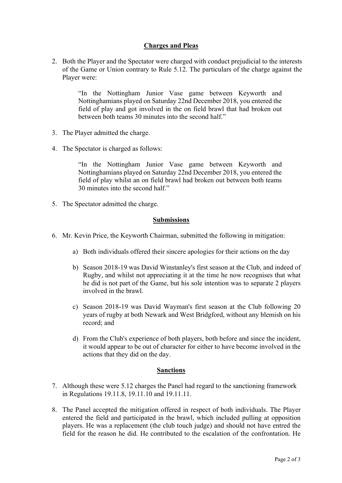### **Charges and Pleas**

2. Both the Player and the Spectator were charged with conduct prejudicial to the interests of the Game or Union contrary to Rule 5.12. The particulars of the charge against the Player were:

> "In the Nottingham Junior Vase game between Keyworth and Nottinghamians played on Saturday 22nd December 2018, you entered the field of play and got involved in the on field brawl that had broken out between both teams 30 minutes into the second half."

- 3. The Player admitted the charge.
- 4. The Spectator is charged as follows:

"In the Nottingham Junior Vase game between Keyworth and Nottinghamians played on Saturday 22nd December 2018, you entered the field of play whilst an on field brawl had broken out between both teams 30 minutes into the second half."

5. The Spectator admitted the charge.

### **Submissions**

- 6. Mr. Kevin Price, the Keyworth Chairman, submitted the following in mitigation:
	- a) Both individuals offered their sincere apologies for their actions on the day
	- b) Season 2018-19 was David Winstanley's first season at the Club, and indeed of Rugby, and whilst not appreciating it at the time he now recognises that what he did is not part of the Game, but his sole intention was to separate 2 players involved in the brawl.
	- c) Season 2018-19 was David Wayman's first season at the Club following 20 years of rugby at both Newark and West Bridgford, without any blemish on his record; and
	- d) From the Club's experience of both players, both before and since the incident, it would appear to be out of character for either to have become involved in the actions that they did on the day.

#### **Sanctions**

- 7. Although these were 5.12 charges the Panel had regard to the sanctioning framework in Regulations 19.11.8, 19.11.10 and 19.11.11.
- 8. The Panel accepted the mitigation offered in respect of both individuals. The Player entered the field and participated in the brawl, which included pulling at opposition players. He was a replacement (the club touch judge) and should not have entred the field for the reason he did. He contributed to the escalation of the confrontation. He